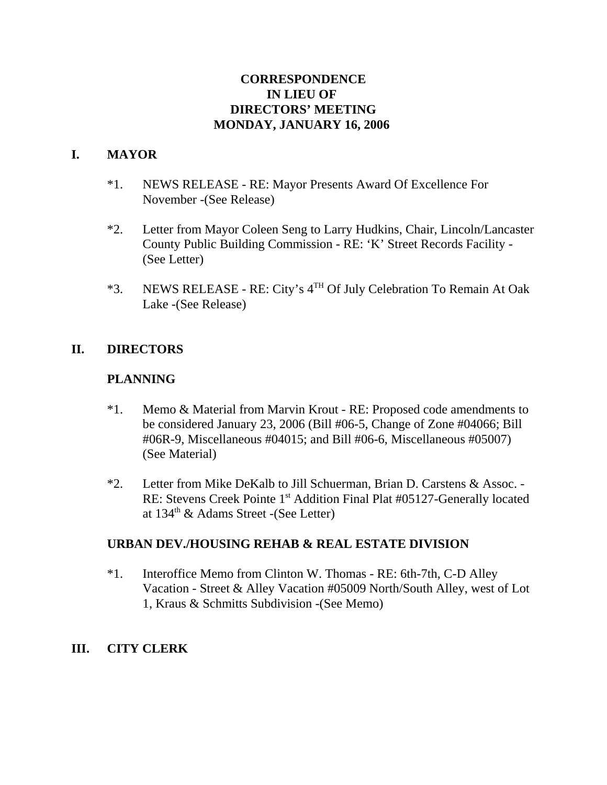# **CORRESPONDENCE IN LIEU OF DIRECTORS' MEETING MONDAY, JANUARY 16, 2006**

# **I. MAYOR**

- \*1. NEWS RELEASE RE: Mayor Presents Award Of Excellence For November -(See Release)
- \*2. Letter from Mayor Coleen Seng to Larry Hudkins, Chair, Lincoln/Lancaster County Public Building Commission - RE: 'K' Street Records Facility - (See Letter)
- \*3. NEWS RELEASE RE: City's 4TH Of July Celebration To Remain At Oak Lake -(See Release)

## **II. DIRECTORS**

#### **PLANNING**

- \*1. Memo & Material from Marvin Krout RE: Proposed code amendments to be considered January 23, 2006 (Bill #06-5, Change of Zone #04066; Bill #06R-9, Miscellaneous #04015; and Bill #06-6, Miscellaneous #05007) (See Material)
- \*2. Letter from Mike DeKalb to Jill Schuerman, Brian D. Carstens & Assoc. RE: Stevens Creek Pointe 1<sup>st</sup> Addition Final Plat #05127-Generally located at 134<sup>th</sup> & Adams Street -(See Letter)

## **URBAN DEV./HOUSING REHAB & REAL ESTATE DIVISION**

\*1. Interoffice Memo from Clinton W. Thomas - RE: 6th-7th, C-D Alley Vacation - Street & Alley Vacation #05009 North/South Alley, west of Lot 1, Kraus & Schmitts Subdivision -(See Memo)

## **III. CITY CLERK**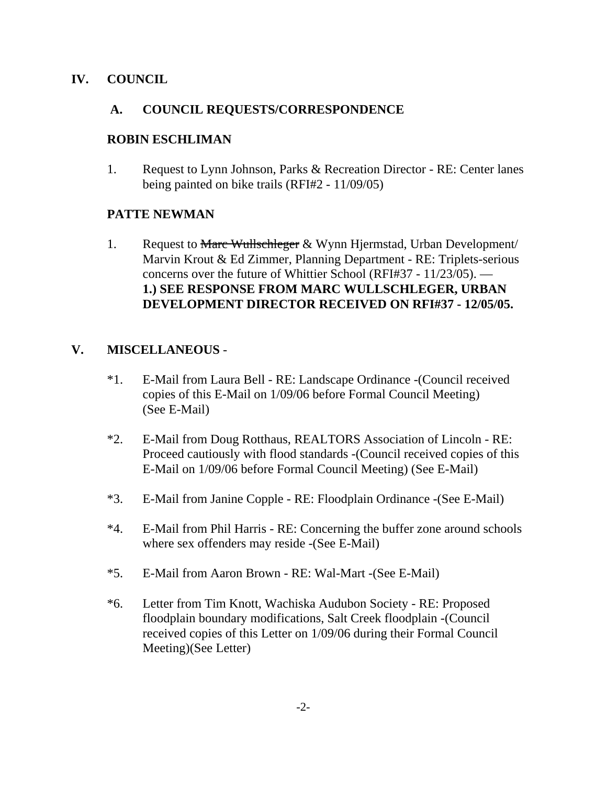## **IV. COUNCIL**

#### **A. COUNCIL REQUESTS/CORRESPONDENCE**

#### **ROBIN ESCHLIMAN**

1. Request to Lynn Johnson, Parks & Recreation Director - RE: Center lanes being painted on bike trails (RFI#2 - 11/09/05)

#### **PATTE NEWMAN**

1. Request to Marc Wullschleger & Wynn Hjermstad, Urban Development/ Marvin Krout & Ed Zimmer, Planning Department - RE: Triplets-serious concerns over the future of Whittier School (RFI#37 - 11/23/05). — **1.) SEE RESPONSE FROM MARC WULLSCHLEGER, URBAN DEVELOPMENT DIRECTOR RECEIVED ON RFI#37 - 12/05/05.** 

## **V. MISCELLANEOUS** -

- \*1. E-Mail from Laura Bell RE: Landscape Ordinance -(Council received copies of this E-Mail on 1/09/06 before Formal Council Meeting) (See E-Mail)
- \*2. E-Mail from Doug Rotthaus, REALTORS Association of Lincoln RE: Proceed cautiously with flood standards -(Council received copies of this E-Mail on 1/09/06 before Formal Council Meeting) (See E-Mail)
- \*3. E-Mail from Janine Copple RE: Floodplain Ordinance -(See E-Mail)
- \*4. E-Mail from Phil Harris RE: Concerning the buffer zone around schools where sex offenders may reside -(See E-Mail)
- \*5. E-Mail from Aaron Brown RE: Wal-Mart -(See E-Mail)
- \*6. Letter from Tim Knott, Wachiska Audubon Society RE: Proposed floodplain boundary modifications, Salt Creek floodplain -(Council received copies of this Letter on 1/09/06 during their Formal Council Meeting)(See Letter)